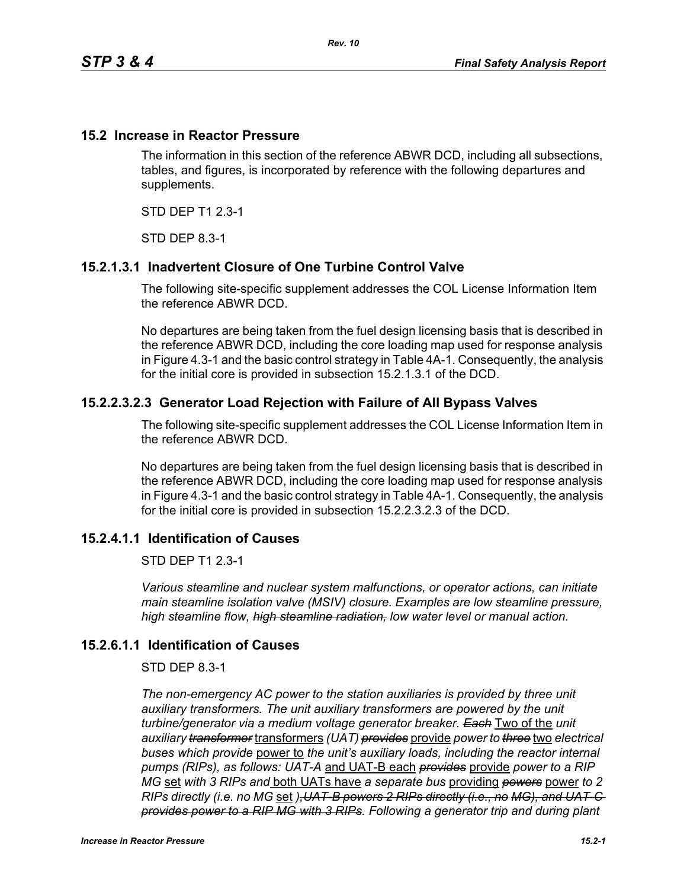## **15.2 Increase in Reactor Pressure**

The information in this section of the reference ABWR DCD, including all subsections, tables, and figures, is incorporated by reference with the following departures and supplements.

STD DEP T1 2.3-1

STD DEP 8.3-1

# **15.2.1.3.1 Inadvertent Closure of One Turbine Control Valve**

The following site-specific supplement addresses the COL License Information Item the reference ABWR DCD.

No departures are being taken from the fuel design licensing basis that is described in the reference ABWR DCD, including the core loading map used for response analysis in Figure 4.3-1 and the basic control strategy in Table 4A-1. Consequently, the analysis for the initial core is provided in subsection 15.2.1.3.1 of the DCD.

## **15.2.2.3.2.3 Generator Load Rejection with Failure of All Bypass Valves**

The following site-specific supplement addresses the COL License Information Item in the reference ABWR DCD.

No departures are being taken from the fuel design licensing basis that is described in the reference ABWR DCD, including the core loading map used for response analysis in Figure 4.3-1 and the basic control strategy in Table 4A-1. Consequently, the analysis for the initial core is provided in subsection 15.2.2.3.2.3 of the DCD.

#### **15.2.4.1.1 Identification of Causes**

STD DEP T1 2.3-1

*Various steamline and nuclear system malfunctions, or operator actions, can initiate main steamline isolation valve (MSIV) closure. Examples are low steamline pressure, high steamline flow, high steamline radiation, low water level or manual action.*

#### **15.2.6.1.1 Identification of Causes**

#### STD DEP 8.3-1

*The non-emergency AC power to the station auxiliaries is provided by three unit*  auxiliary transformers. The unit auxiliary transformers are powered by the unit *turbine/generator via a medium voltage generator breaker. Each* Two of the *unit auxiliary transformer* transformers *(UAT) provides* provide *power to three* two *electrical buses which provide* power to *the unit's auxiliary loads, including the reactor internal pumps (RIPs), as follows: UAT-A* and UAT-B each *provides* provide *power to a RIP MG* set *with 3 RIPs and* both UATs have *a separate bus* providing *powers* power *to 2 RIPs directly (i.e. no MG* set *),UAT-B powers 2 RIPs directly (i.e., no MG), and UAT-C provides power to a RIP MG with 3 RIPs. Following a generator trip and during plant*